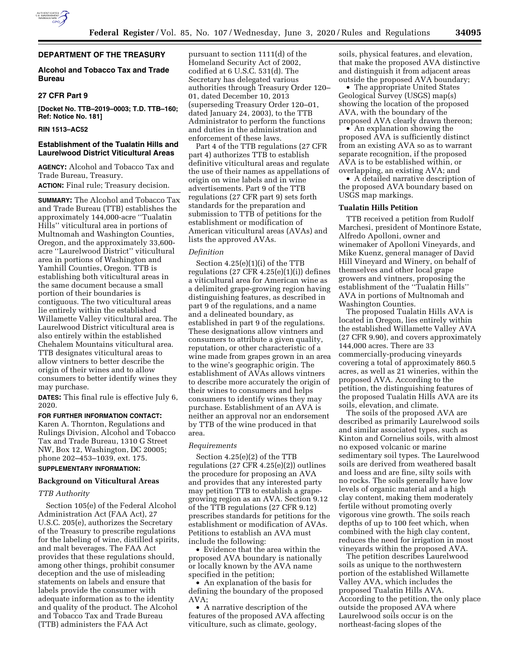

# **DEPARTMENT OF THE TREASURY**

## **Alcohol and Tobacco Tax and Trade Bureau**

## **27 CFR Part 9**

**[Docket No. TTB–2019–0003; T.D. TTB–160; Ref: Notice No. 181]** 

## **RIN 1513–AC52**

## **Establishment of the Tualatin Hills and Laurelwood District Viticultural Areas**

**AGENCY:** Alcohol and Tobacco Tax and Trade Bureau, Treasury. **ACTION:** Final rule; Treasury decision.

**SUMMARY:** The Alcohol and Tobacco Tax and Trade Bureau (TTB) establishes the approximately 144,000-acre ''Tualatin Hills'' viticultural area in portions of Multnomah and Washington Counties, Oregon, and the approximately 33,600 acre ''Laurelwood District'' viticultural area in portions of Washington and Yamhill Counties, Oregon. TTB is establishing both viticultural areas in the same document because a small portion of their boundaries is contiguous. The two viticultural areas lie entirely within the established Willamette Valley viticultural area. The Laurelwood District viticultural area is also entirely within the established Chehalem Mountains viticultural area. TTB designates viticultural areas to allow vintners to better describe the origin of their wines and to allow consumers to better identify wines they may purchase.

**DATES:** This final rule is effective July 6, 2020.

## **FOR FURTHER INFORMATION CONTACT:**

Karen A. Thornton, Regulations and Rulings Division, Alcohol and Tobacco Tax and Trade Bureau, 1310 G Street NW, Box 12, Washington, DC 20005; phone 202–453–1039, ext. 175.

# **SUPPLEMENTARY INFORMATION:**

## **Background on Viticultural Areas**

#### *TTB Authority*

Section 105(e) of the Federal Alcohol Administration Act (FAA Act), 27 U.S.C. 205(e), authorizes the Secretary of the Treasury to prescribe regulations for the labeling of wine, distilled spirits, and malt beverages. The FAA Act provides that these regulations should, among other things, prohibit consumer deception and the use of misleading statements on labels and ensure that labels provide the consumer with adequate information as to the identity and quality of the product. The Alcohol and Tobacco Tax and Trade Bureau (TTB) administers the FAA Act

pursuant to section 1111(d) of the Homeland Security Act of 2002, codified at 6 U.S.C. 531(d). The Secretary has delegated various authorities through Treasury Order 120– 01, dated December 10, 2013 (superseding Treasury Order 120–01, dated January 24, 2003), to the TTB Administrator to perform the functions and duties in the administration and enforcement of these laws.

Part 4 of the TTB regulations (27 CFR part 4) authorizes TTB to establish definitive viticultural areas and regulate the use of their names as appellations of origin on wine labels and in wine advertisements. Part 9 of the TTB regulations (27 CFR part 9) sets forth standards for the preparation and submission to TTB of petitions for the establishment or modification of American viticultural areas (AVAs) and lists the approved AVAs.

#### *Definition*

Section 4.25(e)(1)(i) of the TTB regulations (27 CFR 4.25(e)(1)(i)) defines a viticultural area for American wine as a delimited grape-growing region having distinguishing features, as described in part 9 of the regulations, and a name and a delineated boundary, as established in part 9 of the regulations. These designations allow vintners and consumers to attribute a given quality, reputation, or other characteristic of a wine made from grapes grown in an area to the wine's geographic origin. The establishment of AVAs allows vintners to describe more accurately the origin of their wines to consumers and helps consumers to identify wines they may purchase. Establishment of an AVA is neither an approval nor an endorsement by TTB of the wine produced in that area.

#### *Requirements*

Section 4.25(e)(2) of the TTB regulations (27 CFR 4.25(e)(2)) outlines the procedure for proposing an AVA and provides that any interested party may petition TTB to establish a grapegrowing region as an AVA. Section 9.12 of the TTB regulations (27 CFR 9.12) prescribes standards for petitions for the establishment or modification of AVAs. Petitions to establish an AVA must include the following:

• Evidence that the area within the proposed AVA boundary is nationally or locally known by the AVA name specified in the petition;

• An explanation of the basis for defining the boundary of the proposed AVA;

• A narrative description of the features of the proposed AVA affecting viticulture, such as climate, geology,

soils, physical features, and elevation, that make the proposed AVA distinctive and distinguish it from adjacent areas outside the proposed AVA boundary;

• The appropriate United States Geological Survey (USGS) map(s) showing the location of the proposed AVA, with the boundary of the proposed AVA clearly drawn thereon;

• An explanation showing the proposed AVA is sufficiently distinct from an existing AVA so as to warrant separate recognition, if the proposed AVA is to be established within, or overlapping, an existing AVA; and

• A detailed narrative description of the proposed AVA boundary based on USGS map markings.

## **Tualatin Hills Petition**

TTB received a petition from Rudolf Marchesi, president of Montinore Estate, Alfredo Apolloni, owner and winemaker of Apolloni Vineyards, and Mike Kuenz, general manager of David Hill Vineyard and Winery, on behalf of themselves and other local grape growers and vintners, proposing the establishment of the ''Tualatin Hills'' AVA in portions of Multnomah and Washington Counties.

The proposed Tualatin Hills AVA is located in Oregon, lies entirely within the established Willamette Valley AVA (27 CFR 9.90), and covers approximately 144,000 acres. There are 33 commercially-producing vineyards covering a total of approximately 860.5 acres, as well as 21 wineries, within the proposed AVA. According to the petition, the distinguishing features of the proposed Tualatin Hills AVA are its soils, elevation, and climate.

The soils of the proposed AVA are described as primarily Laurelwood soils and similar associated types, such as Kinton and Cornelius soils, with almost no exposed volcanic or marine sedimentary soil types. The Laurelwood soils are derived from weathered basalt and loess and are fine, silty soils with no rocks. The soils generally have low levels of organic material and a high clay content, making them moderately fertile without promoting overly vigorous vine growth. The soils reach depths of up to 100 feet which, when combined with the high clay content, reduces the need for irrigation in most vineyards within the proposed AVA.

The petition describes Laurelwood soils as unique to the northwestern portion of the established Willamette Valley AVA, which includes the proposed Tualatin Hills AVA. According to the petition, the only place outside the proposed AVA where Laurelwood soils occur is on the northeast-facing slopes of the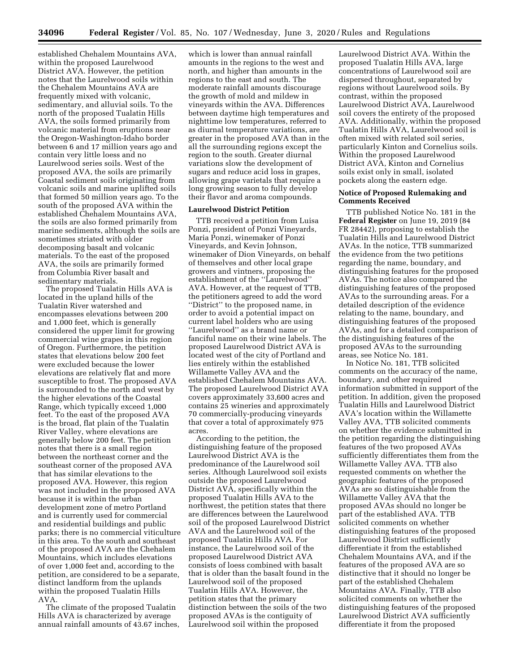established Chehalem Mountains AVA, within the proposed Laurelwood District AVA. However, the petition notes that the Laurelwood soils within the Chehalem Mountains AVA are frequently mixed with volcanic, sedimentary, and alluvial soils. To the north of the proposed Tualatin Hills AVA, the soils formed primarily from volcanic material from eruptions near the Oregon-Washington-Idaho border between 6 and 17 million years ago and contain very little loess and no Laurelwood series soils. West of the proposed AVA, the soils are primarily Coastal sediment soils originating from volcanic soils and marine uplifted soils that formed 50 million years ago. To the south of the proposed AVA within the established Chehalem Mountains AVA, the soils are also formed primarily from marine sediments, although the soils are sometimes striated with older decomposing basalt and volcanic materials. To the east of the proposed AVA, the soils are primarily formed from Columbia River basalt and sedimentary materials.

The proposed Tualatin Hills AVA is located in the upland hills of the Tualatin River watershed and encompasses elevations between 200 and 1,000 feet, which is generally considered the upper limit for growing commercial wine grapes in this region of Oregon. Furthermore, the petition states that elevations below 200 feet were excluded because the lower elevations are relatively flat and more susceptible to frost. The proposed AVA is surrounded to the north and west by the higher elevations of the Coastal Range, which typically exceed 1,000 feet. To the east of the proposed AVA is the broad, flat plain of the Tualatin River Valley, where elevations are generally below 200 feet. The petition notes that there is a small region between the northeast corner and the southeast corner of the proposed AVA that has similar elevations to the proposed AVA. However, this region was not included in the proposed AVA because it is within the urban development zone of metro Portland and is currently used for commercial and residential buildings and public parks; there is no commercial viticulture in this area. To the south and southeast of the proposed AVA are the Chehalem Mountains, which includes elevations of over 1,000 feet and, according to the petition, are considered to be a separate, distinct landform from the uplands within the proposed Tualatin Hills AVA.

The climate of the proposed Tualatin Hills AVA is characterized by average annual rainfall amounts of 43.67 inches,

which is lower than annual rainfall amounts in the regions to the west and north, and higher than amounts in the regions to the east and south. The moderate rainfall amounts discourage the growth of mold and mildew in vineyards within the AVA. Differences between daytime high temperatures and nighttime low temperatures, referred to as diurnal temperature variations, are greater in the proposed AVA than in the all the surrounding regions except the region to the south. Greater diurnal variations slow the development of sugars and reduce acid loss in grapes, allowing grape varietals that require a long growing season to fully develop their flavor and aroma compounds.

### **Laurelwood District Petition**

TTB received a petition from Luisa Ponzi, president of Ponzi Vineyards, Maria Ponzi, winemaker of Ponzi Vineyards, and Kevin Johnson, winemaker of Dion Vineyards, on behalf of themselves and other local grape growers and vintners, proposing the establishment of the ''Laurelwood'' AVA. However, at the request of TTB, the petitioners agreed to add the word ''District'' to the proposed name, in order to avoid a potential impact on current label holders who are using ''Laurelwood'' as a brand name or fanciful name on their wine labels. The proposed Laurelwood District AVA is located west of the city of Portland and lies entirely within the established Willamette Valley AVA and the established Chehalem Mountains AVA. The proposed Laurelwood District AVA covers approximately 33,600 acres and contains 25 wineries and approximately 70 commercially-producing vineyards that cover a total of approximately 975 acres.

According to the petition, the distinguishing feature of the proposed Laurelwood District AVA is the predominance of the Laurelwood soil series. Although Laurelwood soil exists outside the proposed Laurelwood District AVA, specifically within the proposed Tualatin Hills AVA to the northwest, the petition states that there are differences between the Laurelwood soil of the proposed Laurelwood District AVA and the Laurelwood soil of the proposed Tualatin Hills AVA. For instance, the Laurelwood soil of the proposed Laurelwood District AVA consists of loess combined with basalt that is older than the basalt found in the Laurelwood soil of the proposed Tualatin Hills AVA. However, the petition states that the primary distinction between the soils of the two proposed AVAs is the contiguity of Laurelwood soil within the proposed

Laurelwood District AVA. Within the proposed Tualatin Hills AVA, large concentrations of Laurelwood soil are dispersed throughout, separated by regions without Laurelwood soils. By contrast, within the proposed Laurelwood District AVA, Laurelwood soil covers the entirety of the proposed AVA. Additionally, within the proposed Tualatin Hills AVA, Laurelwood soil is often mixed with related soil series, particularly Kinton and Cornelius soils. Within the proposed Laurelwood District AVA, Kinton and Cornelius soils exist only in small, isolated pockets along the eastern edge.

# **Notice of Proposed Rulemaking and Comments Received**

TTB published Notice No. 181 in the **Federal Register** on June 19, 2019 (84 FR 28442), proposing to establish the Tualatin Hills and Laurelwood District AVAs. In the notice, TTB summarized the evidence from the two petitions regarding the name, boundary, and distinguishing features for the proposed AVAs. The notice also compared the distinguishing features of the proposed AVAs to the surrounding areas. For a detailed description of the evidence relating to the name, boundary, and distinguishing features of the proposed AVAs, and for a detailed comparison of the distinguishing features of the proposed AVAs to the surrounding areas, see Notice No. 181.

In Notice No. 181, TTB solicited comments on the accuracy of the name, boundary, and other required information submitted in support of the petition. In addition, given the proposed Tualatin Hills and Laurelwood District AVA's location within the Willamette Valley AVA, TTB solicited comments on whether the evidence submitted in the petition regarding the distinguishing features of the two proposed AVAs sufficiently differentiates them from the Willamette Valley AVA. TTB also requested comments on whether the geographic features of the proposed AVAs are so distinguishable from the Willamette Valley AVA that the proposed AVAs should no longer be part of the established AVA. TTB solicited comments on whether distinguishing features of the proposed Laurelwood District sufficiently differentiate it from the established Chehalem Mountains AVA, and if the features of the proposed AVA are so distinctive that it should no longer be part of the established Chehalem Mountains AVA. Finally, TTB also solicited comments on whether the distinguishing features of the proposed Laurelwood District AVA sufficiently differentiate it from the proposed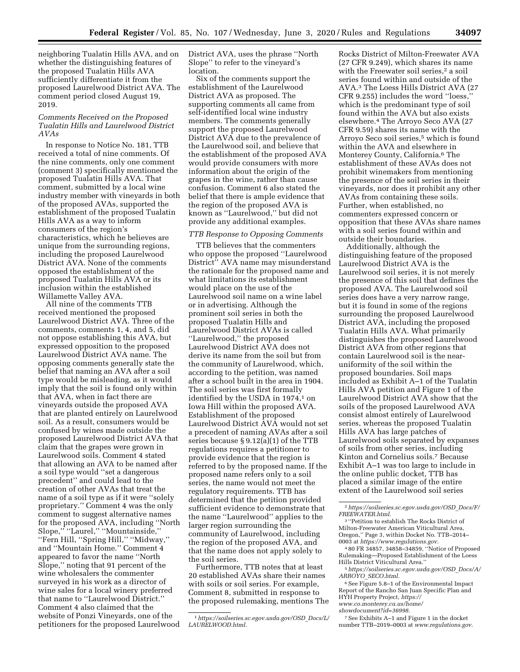neighboring Tualatin Hills AVA, and on whether the distinguishing features of the proposed Tualatin Hills AVA sufficiently differentiate it from the proposed Laurelwood District AVA. The comment period closed August 19, 2019.

## *Comments Received on the Proposed Tualatin Hills and Laurelwood District AVAs*

In response to Notice No. 181, TTB received a total of nine comments. Of the nine comments, only one comment (comment 3) specifically mentioned the proposed Tualatin Hills AVA. That comment, submitted by a local wine industry member with vineyards in both of the proposed AVAs, supported the establishment of the proposed Tualatin Hills AVA as a way to inform consumers of the region's characteristics, which he believes are unique from the surrounding regions, including the proposed Laurelwood District AVA. None of the comments opposed the establishment of the proposed Tualatin Hills AVA or its inclusion within the established Willamette Valley AVA.

All nine of the comments TTB received mentioned the proposed Laurelwood District AVA. Three of the comments, comments 1, 4, and 5, did not oppose establishing this AVA, but expressed opposition to the proposed Laurelwood District AVA name. The opposing comments generally state the belief that naming an AVA after a soil type would be misleading, as it would imply that the soil is found only within that AVA, when in fact there are vineyards outside the proposed AVA that are planted entirely on Laurelwood soil. As a result, consumers would be confused by wines made outside the proposed Laurelwood District AVA that claim that the grapes were grown in Laurelwood soils. Comment 4 stated that allowing an AVA to be named after a soil type would ''set a dangerous precedent'' and could lead to the creation of other AVAs that treat the name of a soil type as if it were ''solely proprietary.'' Comment 4 was the only comment to suggest alternative names for the proposed AVA, including ''North Slope,'' ''Laurel,'' ''Mountainside,'' ''Fern Hill, ''Spring Hill,'' ''Midway,'' and ''Mountain Home.'' Comment 4 appeared to favor the name ''North Slope,'' noting that 91 percent of the wine wholesalers the commenter surveyed in his work as a director of wine sales for a local winery preferred that name to ''Laurelwood District.'' Comment 4 also claimed that the website of Ponzi Vineyards, one of the petitioners for the proposed Laurelwood

District AVA, uses the phrase ''North Slope'' to refer to the vineyard's location.

Six of the comments support the establishment of the Laurelwood District AVA as proposed. The supporting comments all came from self-identified local wine industry members. The comments generally support the proposed Laurelwood District AVA due to the prevalence of the Laurelwood soil, and believe that the establishment of the proposed AVA would provide consumers with more information about the origin of the grapes in the wine, rather than cause confusion. Comment 6 also stated the belief that there is ample evidence that the region of the proposed AVA is known as ''Laurelwood,'' but did not provide any additional examples.

#### *TTB Response to Opposing Comments*

TTB believes that the commenters who oppose the proposed ''Laurelwood District'' AVA name may misunderstand the rationale for the proposed name and what limitations its establishment would place on the use of the Laurelwood soil name on a wine label or in advertising. Although the prominent soil series in both the proposed Tualatin Hills and Laurelwood District AVAs is called ''Laurelwood,'' the proposed Laurelwood District AVA does not derive its name from the soil but from the community of Laurelwood, which, according to the petition, was named after a school built in the area in 1904. The soil series was first formally identified by the USDA in 1974,<sup>1</sup> on Iowa Hill within the proposed AVA. Establishment of the proposed Laurelwood District AVA would not set a precedent of naming AVAs after a soil series because § 9.12(a)(1) of the TTB regulations requires a petitioner to provide evidence that the region is referred to by the proposed name. If the proposed name refers only to a soil series, the name would not meet the regulatory requirements. TTB has determined that the petition provided sufficient evidence to demonstrate that the name ''Laurelwood'' applies to the larger region surrounding the community of Laurelwood, including the region of the proposed AVA, and that the name does not apply solely to the soil series.

Furthermore, TTB notes that at least 20 established AVAs share their names with soils or soil series. For example, Comment 8, submitted in response to the proposed rulemaking, mentions The

Rocks District of Milton-Freewater AVA (27 CFR 9.249), which shares its name with the Freewater soil series,<sup>2</sup> a soil series found within and outside of the AVA.3 The Loess Hills District AVA (27 CFR 9.255) includes the word ''loess,'' which is the predominant type of soil found within the AVA but also exists elsewhere.4 The Arroyo Seco AVA (27 CFR 9.59) shares its name with the Arroyo Seco soil series,5 which is found within the AVA and elsewhere in Monterey County, California.6 The establishment of these AVAs does not prohibit winemakers from mentioning the presence of the soil series in their vineyards, nor does it prohibit any other AVAs from containing these soils. Further, when established, no commenters expressed concern or opposition that these AVAs share names with a soil series found within and outside their boundaries.

Additionally, although the distinguishing feature of the proposed Laurelwood District AVA is the Laurelwood soil series, it is not merely the presence of this soil that defines the proposed AVA. The Laurelwood soil series does have a very narrow range, but it is found in some of the regions surrounding the proposed Laurelwood District AVA, including the proposed Tualatin Hills AVA. What primarily distinguishes the proposed Laurelwood District AVA from other regions that contain Laurelwood soil is the nearuniformity of the soil within the proposed boundaries. Soil maps included as Exhibit A–1 of the Tualatin Hills AVA petition and Figure 1 of the Laurelwood District AVA show that the soils of the proposed Laurelwood AVA consist almost entirely of Laurelwood series, whereas the proposed Tualatin Hills AVA has large patches of Laurelwood soils separated by expanses of soils from other series, including Kinton and Cornelius soils.7 Because Exhibit A–1 was too large to include in the online public docket, TTB has placed a similar image of the entire extent of the Laurelwood soil series

4 80 FR 34857, 34858–34859, ''Notice of Proposed Rulemaking—Proposed Establishment of the Loess

HYH Property Project, *[https://](https://www.co.monterey.ca.us/home/showdocument?id=36998)*

<sup>1</sup>*[https://soilseries.sc.egov.usda.gov/OSD](https://soilseries.sc.egov.usda.gov/OSD_Docs/L/LAURELWOOD.html)*\_*Docs/L/ [LAURELWOOD.html.](https://soilseries.sc.egov.usda.gov/OSD_Docs/L/LAURELWOOD.html)* 

<sup>2</sup>*[https://soilseries.sc.egov.usda.gov/OSD](https://soilseries.sc.egov.usda.gov/OSD_Docs/F/FREEWATER.html)*\_*Docs/F/ [FREEWATER.html.](https://soilseries.sc.egov.usda.gov/OSD_Docs/F/FREEWATER.html)* 

<sup>3</sup> ''Petition to establish The Rocks District of Milton-Freewater American Viticultural Area, Oregon,'' Page 3, within Docket No. TTB–2014– 0003 at *[https://www.regulations.gov.](https://www.regulations.gov)* 

 $5$  [https://soilseries.sc.egov.usda.gov/OSD](https://soilseries.sc.egov.usda.gov/OSD_Docs/A/ARROYO_SECO.html)\_Docs/A/ *ARROYO*\_*[SECO.html.](https://soilseries.sc.egov.usda.gov/OSD_Docs/A/ARROYO_SECO.html)* 

<sup>6</sup>See Figure 5.8–1 of the Environmental Impact Report of the Rancho San Juan Specific Plan and

*[www.co.monterey.ca.us/home/](https://www.co.monterey.ca.us/home/showdocument?id=36998)* 

*[showdocument?id=36998.](https://www.co.monterey.ca.us/home/showdocument?id=36998)* 

<sup>7</sup>See Exhibits A–1 and Figure 1 in the docket number TTB–2019–0003 at *[www.regulations.gov.](http://www.regulations.gov)*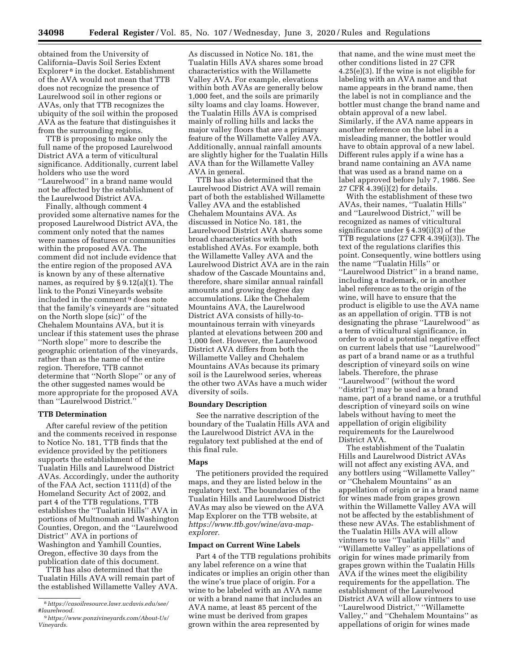obtained from the University of California–Davis Soil Series Extent Explorer 8 in the docket. Establishment of the AVA would not mean that TTB does not recognize the presence of Laurelwood soil in other regions or AVAs, only that TTB recognizes the ubiquity of the soil within the proposed AVA as the feature that distinguishes it from the surrounding regions.

TTB is proposing to make only the full name of the proposed Laurelwood District AVA a term of viticultural significance. Additionally, current label holders who use the word ''Laurelwood'' in a brand name would not be affected by the establishment of the Laurelwood District AVA.

Finally, although comment 4 provided some alternative names for the proposed Laurelwood District AVA, the comment only noted that the names were names of features or communities within the proposed AVA. The comment did not include evidence that the entire region of the proposed AVA is known by any of these alternative names, as required by § 9.12(a)(1). The link to the Ponzi Vineyards website included in the comment 9 does note that the family's vineyards are ''situated on the North slope (sic)'' of the Chehalem Mountains AVA, but it is unclear if this statement uses the phrase ''North slope'' more to describe the geographic orientation of the vineyards, rather than as the name of the entire region. Therefore, TTB cannot determine that ''North Slope'' or any of the other suggested names would be more appropriate for the proposed AVA than ''Laurelwood District.''

## **TTB Determination**

After careful review of the petition and the comments received in response to Notice No. 181, TTB finds that the evidence provided by the petitioners supports the establishment of the Tualatin Hills and Laurelwood District AVAs. Accordingly, under the authority of the FAA Act, section 1111(d) of the Homeland Security Act of 2002, and part 4 of the TTB regulations, TTB establishes the ''Tualatin Hills'' AVA in portions of Multnomah and Washington Counties, Oregon, and the ''Laurelwood District'' AVA in portions of Washington and Yamhill Counties, Oregon, effective 30 days from the publication date of this document.

TTB has also determined that the Tualatin Hills AVA will remain part of the established Willamette Valley AVA.

As discussed in Notice No. 181, the Tualatin Hills AVA shares some broad characteristics with the Willamette Valley AVA. For example, elevations within both AVAs are generally below 1,000 feet, and the soils are primarily silty loams and clay loams. However, the Tualatin Hills AVA is comprised mainly of rolling hills and lacks the major valley floors that are a primary feature of the Willamette Valley AVA. Additionally, annual rainfall amounts are slightly higher for the Tualatin Hills AVA than for the Willamette Valley AVA in general.

TTB has also determined that the Laurelwood District AVA will remain part of both the established Willamette Valley AVA and the established Chehalem Mountains AVA. As discussed in Notice No. 181, the Laurelwood District AVA shares some broad characteristics with both established AVAs. For example, both the Willamette Valley AVA and the Laurelwood District AVA are in the rain shadow of the Cascade Mountains and, therefore, share similar annual rainfall amounts and growing degree day accumulations. Like the Chehalem Mountains AVA, the Laurelwood District AVA consists of hilly-tomountainous terrain with vineyards planted at elevations between 200 and 1,000 feet. However, the Laurelwood District AVA differs from both the Willamette Valley and Chehalem Mountains AVAs because its primary soil is the Laurelwood series, whereas the other two AVAs have a much wider diversity of soils.

# **Boundary Description**

See the narrative description of the boundary of the Tualatin Hills AVA and the Laurelwood District AVA in the regulatory text published at the end of this final rule.

## **Maps**

The petitioners provided the required maps, and they are listed below in the regulatory text. The boundaries of the Tualatin Hills and Laurelwood District AVAs may also be viewed on the AVA Map Explorer on the TTB website, at *[https://www.ttb.gov/wine/ava-map](https://www.ttb.gov/wine/ava-map-explorer)[explorer.](https://www.ttb.gov/wine/ava-map-explorer)* 

### **Impact on Current Wine Labels**

Part 4 of the TTB regulations prohibits any label reference on a wine that indicates or implies an origin other than the wine's true place of origin. For a wine to be labeled with an AVA name or with a brand name that includes an AVA name, at least 85 percent of the wine must be derived from grapes grown within the area represented by

that name, and the wine must meet the other conditions listed in 27 CFR 4.25(e)(3). If the wine is not eligible for labeling with an AVA name and that name appears in the brand name, then the label is not in compliance and the bottler must change the brand name and obtain approval of a new label. Similarly, if the AVA name appears in another reference on the label in a misleading manner, the bottler would have to obtain approval of a new label. Different rules apply if a wine has a brand name containing an AVA name that was used as a brand name on a label approved before July 7, 1986. See 27 CFR 4.39(i)(2) for details.

With the establishment of these two AVAs, their names, ''Tualatin Hills'' and ''Laurelwood District,'' will be recognized as names of viticultural significance under § 4.39(i)(3) of the TTB regulations (27 CFR 4.39(i)(3)). The text of the regulations clarifies this point. Consequently, wine bottlers using the name ''Tualatin Hills'' or ''Laurelwood District'' in a brand name, including a trademark, or in another label reference as to the origin of the wine, will have to ensure that the product is eligible to use the AVA name as an appellation of origin. TTB is not designating the phrase ''Laurelwood'' as a term of viticultural significance, in order to avoid a potential negative effect on current labels that use ''Laurelwood'' as part of a brand name or as a truthful description of vineyard soils on wine labels. Therefore, the phrase ''Laurelwood'' (without the word ''district'') may be used as a brand name, part of a brand name, or a truthful description of vineyard soils on wine labels without having to meet the appellation of origin eligibility requirements for the Laurelwood District AVA.

The establishment of the Tualatin Hills and Laurelwood District AVAs will not affect any existing AVA, and any bottlers using ''Willamette Valley'' or ''Chehalem Mountains'' as an appellation of origin or in a brand name for wines made from grapes grown within the Willamette Valley AVA will not be affected by the establishment of these new AVAs. The establishment of the Tualatin Hills AVA will allow vintners to use ''Tualatin Hills'' and ''Willamette Valley'' as appellations of origin for wines made primarily from grapes grown within the Tualatin Hills AVA if the wines meet the eligibility requirements for the appellation. The establishment of the Laurelwood District AVA will allow vintners to use ''Laurelwood District,'' ''Willamette Valley,'' and ''Chehalem Mountains'' as appellations of origin for wines made

<sup>8</sup>*[https://casoilresource.lawr.ucdavis.edu/see/](https://casoilresource.lawr.ucdavis.edu/see/#laurelwood) [#laurelwood.](https://casoilresource.lawr.ucdavis.edu/see/#laurelwood)* 

<sup>9</sup>*[https://www.ponzivineyards.com/About-Us/](https://www.ponzivineyards.com/About-Us/Vineyards)  [Vineyards.](https://www.ponzivineyards.com/About-Us/Vineyards)*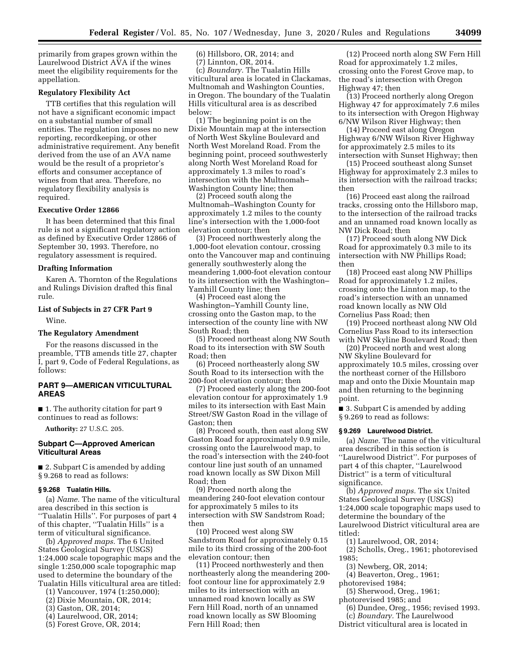primarily from grapes grown within the Laurelwood District AVA if the wines meet the eligibility requirements for the appellation.

## **Regulatory Flexibility Act**

TTB certifies that this regulation will not have a significant economic impact on a substantial number of small entities. The regulation imposes no new reporting, recordkeeping, or other administrative requirement. Any benefit derived from the use of an AVA name would be the result of a proprietor's efforts and consumer acceptance of wines from that area. Therefore, no regulatory flexibility analysis is required.

### **Executive Order 12866**

It has been determined that this final rule is not a significant regulatory action as defined by Executive Order 12866 of September 30, 1993. Therefore, no regulatory assessment is required.

#### **Drafting Information**

Karen A. Thornton of the Regulations and Rulings Division drafted this final rule.

# **List of Subjects in 27 CFR Part 9**

Wine.

### **The Regulatory Amendment**

For the reasons discussed in the preamble, TTB amends title 27, chapter I, part 9, Code of Federal Regulations, as follows:

# **PART 9—AMERICAN VITICULTURAL AREAS**

■ 1. The authority citation for part 9 continues to read as follows:

**Authority:** 27 U.S.C. 205.

## **Subpart C—Approved American Viticultural Areas**

■ 2. Subpart C is amended by adding § 9.268 to read as follows:

#### **§ 9.268 Tualatin Hills.**

(a) *Name.* The name of the viticultural area described in this section is ''Tualatin Hills''. For purposes of part 4 of this chapter, ''Tualatin Hills'' is a term of viticultural significance.

(b) *Approved maps.* The 6 United States Geological Survey (USGS) 1:24,000 scale topographic maps and the single 1:250,000 scale topographic map used to determine the boundary of the Tualatin Hills viticultural area are titled:

- (1) Vancouver, 1974 (1:250,000);
- (2) Dixie Mountain, OR, 2014;
- (3) Gaston, OR, 2014;
- (4) Laurelwood, OR, 2014;
- (5) Forest Grove, OR, 2014;

(6) Hillsboro, OR, 2014; and (7) Linnton, OR, 2014.

(c) *Boundary.* The Tualatin Hills viticultural area is located in Clackamas, Multnomah and Washington Counties, in Oregon. The boundary of the Tualatin Hills viticultural area is as described below:

(1) The beginning point is on the Dixie Mountain map at the intersection of North West Skyline Boulevard and North West Moreland Road. From the beginning point, proceed southwesterly along North West Moreland Road for approximately 1.3 miles to road's intersection with the Multnomah– Washington County line; then

(2) Proceed south along the Multnomah–Washington County for approximately 1.2 miles to the county line's intersection with the 1,000-foot elevation contour; then

(3) Proceed northwesterly along the 1,000-foot elevation contour, crossing onto the Vancouver map and continuing generally southwesterly along the meandering 1,000-foot elevation contour to its intersection with the Washington– Yamhill County line; then

(4) Proceed east along the Washington–Yamhill County line, crossing onto the Gaston map, to the intersection of the county line with NW South Road; then

(5) Proceed northeast along NW South Road to its intersection with SW South Road; then

(6) Proceed northeasterly along SW South Road to its intersection with the 200-foot elevation contour; then

(7) Proceed easterly along the 200-foot elevation contour for approximately 1.9 miles to its intersection with East Main Street/SW Gaston Road in the village of Gaston; then

(8) Proceed south, then east along SW Gaston Road for approximately 0.9 mile, crossing onto the Laurelwood map, to the road's intersection with the 240-foot contour line just south of an unnamed road known locally as SW Dixon Mill Road; then

(9) Proceed north along the meandering 240-foot elevation contour for approximately 5 miles to its intersection with SW Sandstrom Road; then

(10) Proceed west along SW Sandstrom Road for approximately 0.15 mile to its third crossing of the 200-foot elevation contour; then

(11) Proceed northwesterly and then northeasterly along the meandering 200 foot contour line for approximately 2.9 miles to its intersection with an unnamed road known locally as SW Fern Hill Road, north of an unnamed road known locally as SW Blooming Fern Hill Road; then

(12) Proceed north along SW Fern Hill Road for approximately 1.2 miles, crossing onto the Forest Grove map, to the road's intersection with Oregon Highway 47; then

(13) Proceed northerly along Oregon Highway 47 for approximately 7.6 miles to its intersection with Oregon Highway 6/NW Wilson River Highway; then

(14) Proceed east along Oregon Highway 6/NW Wilson River Highway for approximately 2.5 miles to its intersection with Sunset Highway; then

(15) Proceed southeast along Sunset Highway for approximately 2.3 miles to its intersection with the railroad tracks; then

(16) Proceed east along the railroad tracks, crossing onto the Hillsboro map, to the intersection of the railroad tracks and an unnamed road known locally as NW Dick Road; then

(17) Proceed south along NW Dick Road for approximately 0.3 mile to its intersection with NW Phillips Road; then

(18) Proceed east along NW Phillips Road for approximately 1.2 miles, crossing onto the Linnton map, to the road's intersection with an unnamed road known locally as NW Old Cornelius Pass Road; then

(19) Proceed northeast along NW Old Cornelius Pass Road to its intersection with NW Skyline Boulevard Road; then

(20) Proceed north and west along NW Skyline Boulevard for approximately 10.5 miles, crossing over the northeast corner of the Hillsboro map and onto the Dixie Mountain map and then returning to the beginning point.

■ 3. Subpart C is amended by adding § 9.269 to read as follows:

#### **§ 9.269 Laurelwood District.**

(a) *Name.* The name of the viticultural area described in this section is ''Laurelwood District''. For purposes of part 4 of this chapter, ''Laurelwood District'' is a term of viticultural significance.

(b) *Approved maps.* The six United States Geological Survey (USGS) 1:24,000 scale topographic maps used to determine the boundary of the Laurelwood District viticultural area are titled:

(1) Laurelwood, OR, 2014;

(2) Scholls, Oreg., 1961; photorevised 1985;

(3) Newberg, OR, 2014;

- (4) Beaverton, Oreg., 1961;
- photorevised 1984;
- (5) Sherwood, Oreg., 1961;

photorevised 1985; and

- (6) Dundee, Oreg., 1956; revised 1993. (c) *Boundary.* The Laurelwood
- District viticultural area is located in